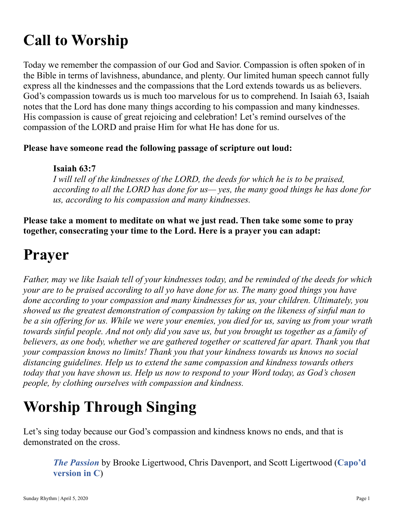## **Call to Worship**

Today we remember the compassion of our God and Savior. Compassion is often spoken of in the Bible in terms of lavishness, abundance, and plenty. Our limited human speech cannot fully express all the kindnesses and the compassions that the Lord extends towards us as believers. God's compassion towards us is much too marvelous for us to comprehend. In Isaiah 63, Isaiah notes that the Lord has done many things according to his compassion and many kindnesses. His compassion is cause of great rejoicing and celebration! Let's remind ourselves of the compassion of the LORD and praise Him for what He has done for us.

#### **Please have someone read the following passage of scripture out loud:**

**Isaiah 63:7**  *I will tell of the kindnesses of the LORD, the deeds for which he is to be praised, according to all the LORD has done for us— yes, the many good things he has done for us, according to his compassion and many kindnesses.* 

**Please take a moment to meditate on what we just read. Then take some some to pray together, consecrating your time to the Lord. Here is a prayer you can adapt:** 

## **Prayer**

*Father, may we like Isaiah tell of your kindnesses today, and be reminded of the deeds for which your are to be praised according to all yo have done for us. The many good things you have done according to your compassion and many kindnesses for us, your children. Ultimately, you showed us the greatest demonstration of compassion by taking on the likeness of sinful man to be a sin offering for us. While we were your enemies, you died for us, saving us from your wrath towards sinful people. And not only did you save us, but you brought us together as a family of believers, as one body, whether we are gathered together or scattered far apart. Thank you that your compassion knows no limits! Thank you that your kindness towards us knows no social distancing guidelines. Help us to extend the same compassion and kindness towards others today that you have shown us. Help us now to respond to your Word today, as God's chosen people, by clothing ourselves with compassion and kindness.* 

# **Worship Through Singing**

Let's sing today because our God's compassion and kindness knows no ends, and that is demonstrated on the cross.

*[The Passion](https://redemptionhill.com/annyong/wp-content/uploads/2020/04/The-Passion-D.pdf)* by Brooke Ligertwood, Chris Davenport, and Scott Ligertwood (**[Capo'd](https://redemptionhill.com/annyong/wp-content/uploads/2020/04/The-Passion-Capo-2-C.pdf)  [version in C](https://redemptionhill.com/annyong/wp-content/uploads/2020/04/The-Passion-Capo-2-C.pdf)**)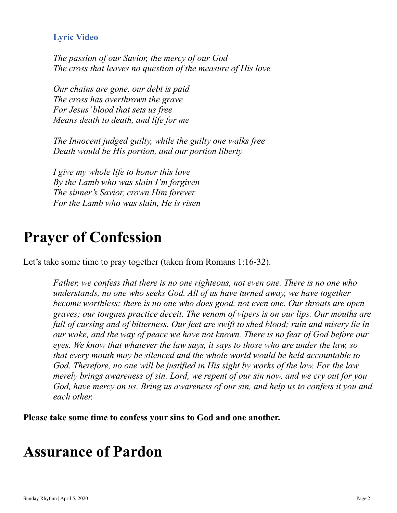#### **[Lyric Video](https://www.youtube.com/watch?v=KWonUVd0WhI)**

*The passion of our Savior, the mercy of our God The cross that leaves no question of the measure of His love* 

*Our chains are gone, our debt is paid The cross has overthrown the grave For Jesus' blood that sets us free Means death to death, and life for me* 

*The Innocent judged guilty, while the guilty one walks free Death would be His portion, and our portion liberty* 

*I give my whole life to honor this love By the Lamb who was slain I'm forgiven The sinner's Savior, crown Him forever For the Lamb who was slain, He is risen* 

### **Prayer of Confession**

Let's take some time to pray together (taken from Romans 1:16-32).

*Father, we confess that there is no one righteous, not even one. There is no one who understands, no one who seeks God. All of us have turned away, we have together become worthless; there is no one who does good, not even one. Our throats are open graves; our tongues practice deceit. The venom of vipers is on our lips. Our mouths are full of cursing and of bitterness. Our feet are swift to shed blood; ruin and misery lie in our wake, and the way of peace we have not known. There is no fear of God before our eyes. We know that whatever the law says, it says to those who are under the law, so that every mouth may be silenced and the whole world would be held accountable to God. Therefore, no one will be justified in His sight by works of the law. For the law merely brings awareness of sin. Lord, we repent of our sin now, and we cry out for you God, have mercy on us. Bring us awareness of our sin, and help us to confess it you and each other.* 

**Please take some time to confess your sins to God and one another.** 

### **Assurance of Pardon**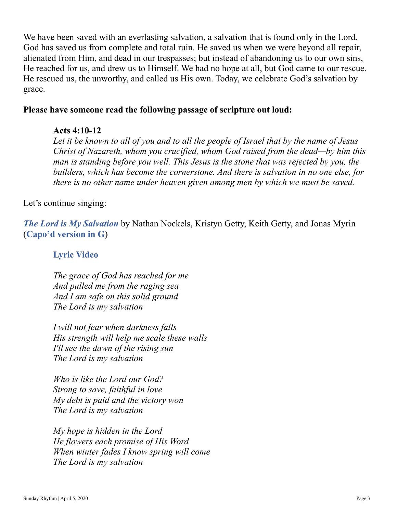We have been saved with an everlasting salvation, a salvation that is found only in the Lord. God has saved us from complete and total ruin. He saved us when we were beyond all repair, alienated from Him, and dead in our trespasses; but instead of abandoning us to our own sins, He reached for us, and drew us to Himself. We had no hope at all, but God came to our rescue. He rescued us, the unworthy, and called us His own. Today, we celebrate God's salvation by grace.

#### **Please have someone read the following passage of scripture out loud:**

#### **Acts 4:10-12**

*Let it be known to all of you and to all the people of Israel that by the name of Jesus Christ of Nazareth, whom you crucified, whom God raised from the dead—by him this man is standing before you well. This Jesus is the stone that was rejected by you, the builders, which has become the cornerstone. And there is salvation in no one else, for there is no other name under heaven given among men by which we must be saved.* 

Let's continue singing:

*[The Lord is My Salvation](https://redemptionhill.com/annyong/wp-content/uploads/2020/04/The-Lord-Is-My-Salvation-C.pdf)* by Nathan Nockels, Kristyn Getty, Keith Getty, and Jonas Myrin (**[Capo'd version in G](https://redemptionhill.com/annyong/wp-content/uploads/2020/04/The-Lord-Is-My-Salvation-Capo-5-G.pdf)**)

#### **[Lyric Video](https://www.youtube.com/watch?v=_Z02T-vDSV0)**

*The grace of God has reached for me And pulled me from the raging sea And I am safe on this solid ground The Lord is my salvation* 

*I will not fear when darkness falls His strength will help me scale these walls I'll see the dawn of the rising sun The Lord is my salvation* 

*Who is like the Lord our God? Strong to save, faithful in love My debt is paid and the victory won The Lord is my salvation* 

*My hope is hidden in the Lord He flowers each promise of His Word When winter fades I know spring will come The Lord is my salvation*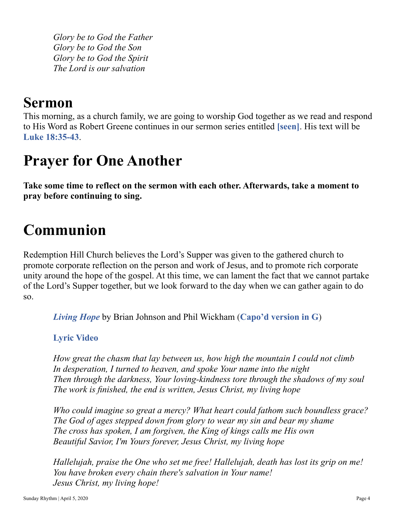*Glory be to God the Father Glory be to God the Son Glory be to God the Spirit The Lord is our salvation* 

### **Sermon**

This morning, as a church family, we are going to worship God together as we read and respond to His Word as Robert Greene continues in our sermon series entitled **[\[seen\]](https://redemptionhill.com/sermon-archive/?&series=Seen)**. His text will be **[Luke 18:35-43](https://www.esv.org/Luke+18/)**.

## **Prayer for One Another**

**Take some time to reflect on the sermon with each other. Afterwards, take a moment to pray before continuing to sing.** 

### **Communion**

Redemption Hill Church believes the Lord's Supper was given to the gathered church to promote corporate reflection on the person and work of Jesus, and to promote rich corporate unity around the hope of the gospel. At this time, we can lament the fact that we cannot partake of the Lord's Supper together, but we look forward to the day when we can gather again to do so.

*[Living Hope](https://redemptionhill.com/annyong/wp-content/uploads/2020/04/Living-Hope-A.pdf)* by Brian Johnson and Phil Wickham (**[Capo'd version in G](https://redemptionhill.com/annyong/wp-content/uploads/2020/04/Living-Hope-Capo-2-G.pdf)**)

**[Lyric Video](https://www.youtube.com/watch?v=RSbJPZLNIuc)**

*How great the chasm that lay between us, how high the mountain I could not climb In desperation, I turned to heaven, and spoke Your name into the night Then through the darkness, Your loving-kindness tore through the shadows of my soul The work is finished, the end is written, Jesus Christ, my living hope* 

*Who could imagine so great a mercy? What heart could fathom such boundless grace? The God of ages stepped down from glory to wear my sin and bear my shame The cross has spoken, I am forgiven, the King of kings calls me His own Beautiful Savior, I'm Yours forever, Jesus Christ, my living hope* 

*Hallelujah, praise the One who set me free! Hallelujah, death has lost its grip on me! You have broken every chain there's salvation in Your name! Jesus Christ, my living hope!*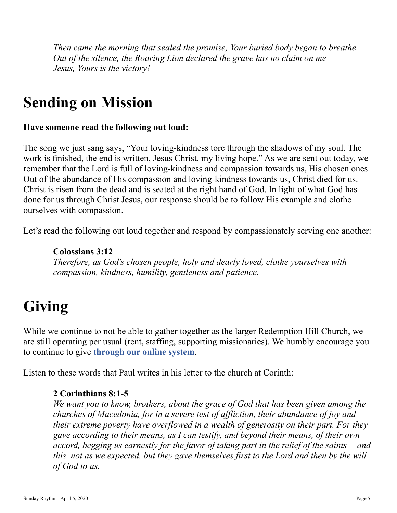*Then came the morning that sealed the promise, Your buried body began to breathe Out of the silence, the Roaring Lion declared the grave has no claim on me Jesus, Yours is the victory!*

## **Sending on Mission**

#### **Have someone read the following out loud:**

The song we just sang says, "Your loving-kindness tore through the shadows of my soul. The work is finished, the end is written, Jesus Christ, my living hope." As we are sent out today, we remember that the Lord is full of loving-kindness and compassion towards us, His chosen ones. Out of the abundance of His compassion and loving-kindness towards us, Christ died for us. Christ is risen from the dead and is seated at the right hand of God. In light of what God has done for us through Christ Jesus, our response should be to follow His example and clothe ourselves with compassion.

Let's read the following out loud together and respond by compassionately serving one another:

**Colossians 3:12**  *Therefore, as God's chosen people, holy and dearly loved, clothe yourselves with compassion, kindness, humility, gentleness and patience.*

## **Giving**

While we continue to not be able to gather together as the larger Redemption Hill Church, we are still operating per usual (rent, staffing, supporting missionaries). We humbly encourage you to continue to give **[through our online system](http://rhc.to/pcgiving)**.

Listen to these words that Paul writes in his letter to the church at Corinth:

#### **2 Corinthians 8:1-5**

*We want you to know, brothers, about the grace of God that has been given among the churches of Macedonia, for in a severe test of affliction, their abundance of joy and their extreme poverty have overflowed in a wealth of generosity on their part. For they gave according to their means, as I can testify, and beyond their means, of their own accord, begging us earnestly for the favor of taking part in the relief of the saints— and this, not as we expected, but they gave themselves first to the Lord and then by the will of God to us.*